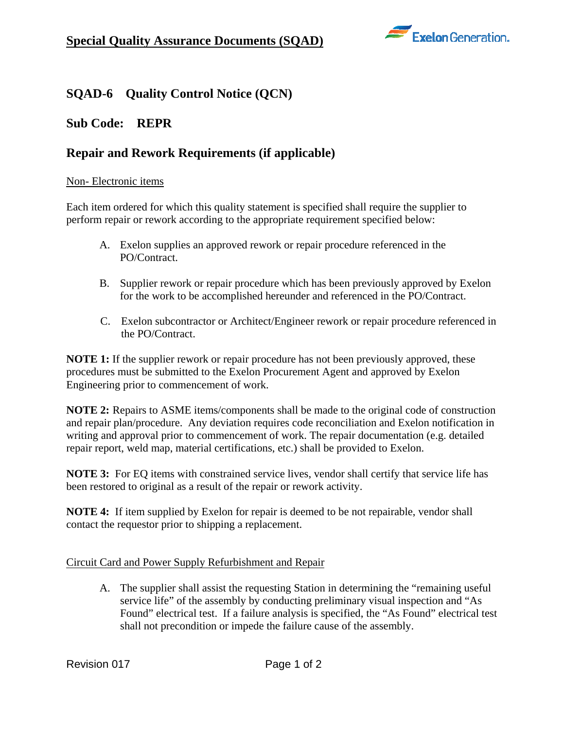

# **SQAD-6 Quality Control Notice (QCN)**

## **Sub Code: REPR**

## **Repair and Rework Requirements (if applicable)**

#### Non- Electronic items

Each item ordered for which this quality statement is specified shall require the supplier to perform repair or rework according to the appropriate requirement specified below:

- A. Exelon supplies an approved rework or repair procedure referenced in the PO/Contract.
- B. Supplier rework or repair procedure which has been previously approved by Exelon for the work to be accomplished hereunder and referenced in the PO/Contract.
- C. Exelon subcontractor or Architect/Engineer rework or repair procedure referenced in the PO/Contract.

**NOTE 1:** If the supplier rework or repair procedure has not been previously approved, these procedures must be submitted to the Exelon Procurement Agent and approved by Exelon Engineering prior to commencement of work.

**NOTE 2:** Repairs to ASME items/components shall be made to the original code of construction and repair plan/procedure. Any deviation requires code reconciliation and Exelon notification in writing and approval prior to commencement of work. The repair documentation (e.g. detailed repair report, weld map, material certifications, etc.) shall be provided to Exelon.

**NOTE 3:** For EQ items with constrained service lives, vendor shall certify that service life has been restored to original as a result of the repair or rework activity.

**NOTE 4:** If item supplied by Exelon for repair is deemed to be not repairable, vendor shall contact the requestor prior to shipping a replacement.

### Circuit Card and Power Supply Refurbishment and Repair

A. The supplier shall assist the requesting Station in determining the "remaining useful service life" of the assembly by conducting preliminary visual inspection and "As Found" electrical test. If a failure analysis is specified, the "As Found" electrical test shall not precondition or impede the failure cause of the assembly.

Revision 017 Page 1 of 2